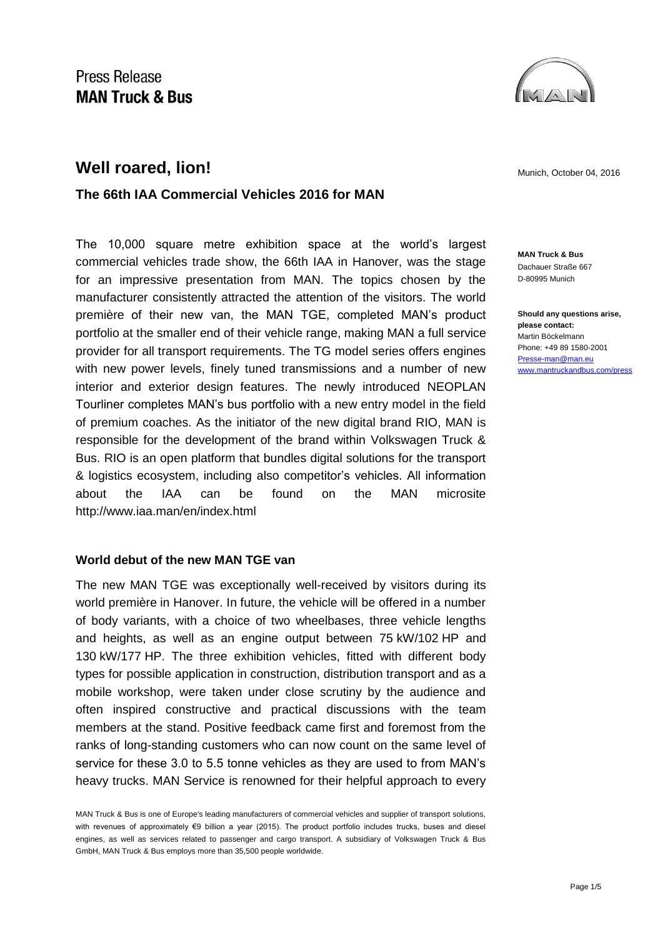

# **Well roared, lion! Munich, October 04, 2016 Munich, October 04, 2016**

## **The 66th IAA Commercial Vehicles 2016 for MAN**

The 10,000 square metre exhibition space at the world's largest commercial vehicles trade show, the 66th IAA in Hanover, was the stage for an impressive presentation from MAN. The topics chosen by the manufacturer consistently attracted the attention of the visitors. The world première of their new van, the MAN TGE, completed MAN's product portfolio at the smaller end of their vehicle range, making MAN a full service provider for all transport requirements. The TG model series offers engines with new power levels, finely tuned transmissions and a number of new interior and exterior design features. The newly introduced NEOPLAN Tourliner completes MAN's bus portfolio with a new entry model in the field of premium coaches. As the initiator of the new digital brand RIO, MAN is responsible for the development of the brand within Volkswagen Truck & Bus. RIO is an open platform that bundles digital solutions for the transport & logistics ecosystem, including also competitor's vehicles. All information about the IAA can be found on the MAN microsite http://www.iaa.man/en/index.html

#### **World debut of the new MAN TGE van**

The new MAN TGE was exceptionally well-received by visitors during its world première in Hanover. In future, the vehicle will be offered in a number of body variants, with a choice of two wheelbases, three vehicle lengths and heights, as well as an engine output between 75 kW/102 HP and 130 kW/177 HP. The three exhibition vehicles, fitted with different body types for possible application in construction, distribution transport and as a mobile workshop, were taken under close scrutiny by the audience and often inspired constructive and practical discussions with the team members at the stand. Positive feedback came first and foremost from the ranks of long-standing customers who can now count on the same level of service for these 3.0 to 5.5 tonne vehicles as they are used to from MAN's heavy trucks. MAN Service is renowned for their helpful approach to every

**MAN Truck & Bus** Dachauer Straße 667 D-80995 Munich

**Should any questions arise, please contact:** Martin Böckelmann Phone: +49 89 1580-2001 [Presse-man@man.eu](mailto:Presse-man@man.eu) [www.mantruckandbus.com/press](http://www.mantruckandbus.com/press)

MAN Truck & Bus is one of Europe's leading manufacturers of commercial vehicles and supplier of transport solutions, with revenues of approximately €9 billion a year (2015). The product portfolio includes trucks, buses and diesel engines, as well as services related to passenger and cargo transport. A subsidiary of Volkswagen Truck & Bus GmbH, MAN Truck & Bus employs more than 35,500 people worldwide.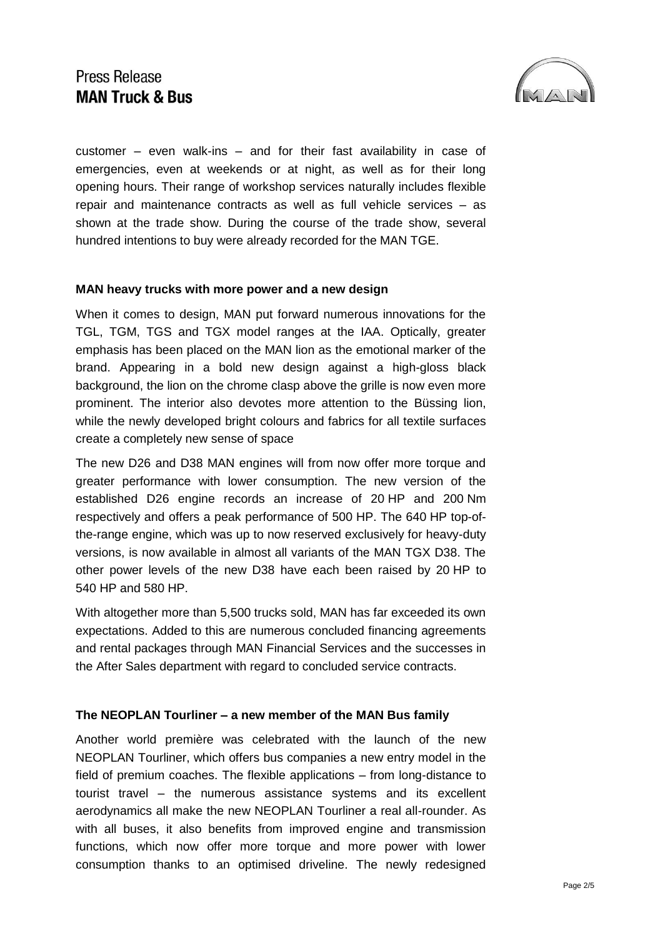

customer – even walk-ins – and for their fast availability in case of emergencies, even at weekends or at night, as well as for their long opening hours. Their range of workshop services naturally includes flexible repair and maintenance contracts as well as full vehicle services – as shown at the trade show. During the course of the trade show, several hundred intentions to buy were already recorded for the MAN TGE.

#### **MAN heavy trucks with more power and a new design**

When it comes to design, MAN put forward numerous innovations for the TGL, TGM, TGS and TGX model ranges at the IAA. Optically, greater emphasis has been placed on the MAN lion as the emotional marker of the brand. Appearing in a bold new design against a high-gloss black background, the lion on the chrome clasp above the grille is now even more prominent. The interior also devotes more attention to the Büssing lion, while the newly developed bright colours and fabrics for all textile surfaces create a completely new sense of space

The new D26 and D38 MAN engines will from now offer more torque and greater performance with lower consumption. The new version of the established D26 engine records an increase of 20 HP and 200 Nm respectively and offers a peak performance of 500 HP. The 640 HP top-ofthe-range engine, which was up to now reserved exclusively for heavy-duty versions, is now available in almost all variants of the MAN TGX D38. The other power levels of the new D38 have each been raised by 20 HP to 540 HP and 580 HP.

With altogether more than 5,500 trucks sold, MAN has far exceeded its own expectations. Added to this are numerous concluded financing agreements and rental packages through MAN Financial Services and the successes in the After Sales department with regard to concluded service contracts.

### **The NEOPLAN Tourliner – a new member of the MAN Bus family**

Another world première was celebrated with the launch of the new NEOPLAN Tourliner, which offers bus companies a new entry model in the field of premium coaches. The flexible applications – from long-distance to tourist travel – the numerous assistance systems and its excellent aerodynamics all make the new NEOPLAN Tourliner a real all-rounder. As with all buses, it also benefits from improved engine and transmission functions, which now offer more torque and more power with lower consumption thanks to an optimised driveline. The newly redesigned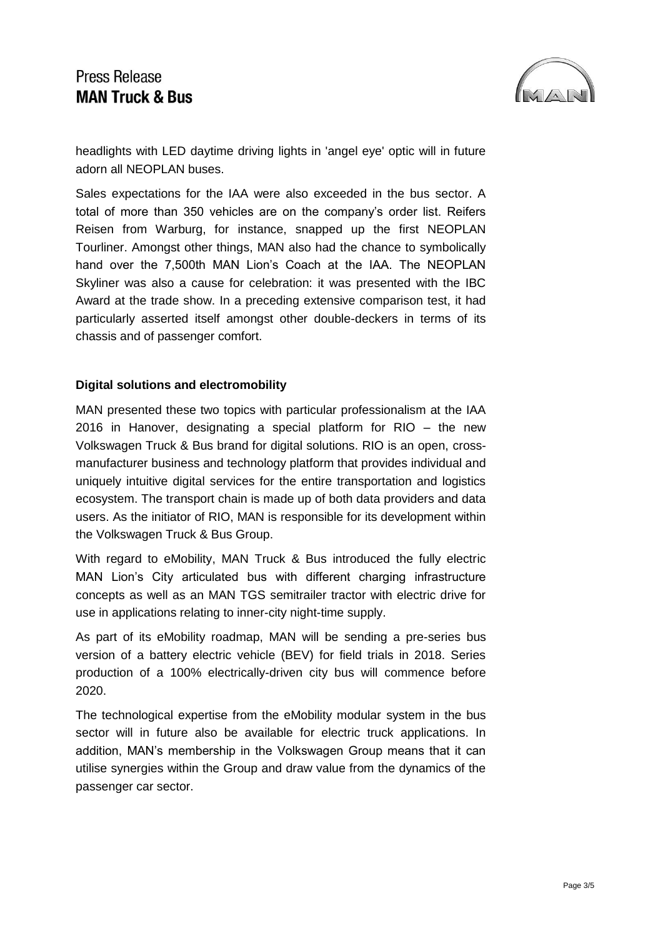

headlights with LED daytime driving lights in 'angel eye' optic will in future adorn all NEOPLAN buses.

Sales expectations for the IAA were also exceeded in the bus sector. A total of more than 350 vehicles are on the company's order list. Reifers Reisen from Warburg, for instance, snapped up the first NEOPLAN Tourliner. Amongst other things, MAN also had the chance to symbolically hand over the 7,500th MAN Lion's Coach at the IAA. The NEOPLAN Skyliner was also a cause for celebration: it was presented with the IBC Award at the trade show. In a preceding extensive comparison test, it had particularly asserted itself amongst other double-deckers in terms of its chassis and of passenger comfort.

### **Digital solutions and electromobility**

MAN presented these two topics with particular professionalism at the IAA 2016 in Hanover, designating a special platform for RIO – the new Volkswagen Truck & Bus brand for digital solutions. RIO is an open, crossmanufacturer business and technology platform that provides individual and uniquely intuitive digital services for the entire transportation and logistics ecosystem. The transport chain is made up of both data providers and data users. As the initiator of RIO, MAN is responsible for its development within the Volkswagen Truck & Bus Group.

With regard to eMobility, MAN Truck & Bus introduced the fully electric MAN Lion's City articulated bus with different charging infrastructure concepts as well as an MAN TGS semitrailer tractor with electric drive for use in applications relating to inner-city night-time supply.

As part of its eMobility roadmap, MAN will be sending a pre-series bus version of a battery electric vehicle (BEV) for field trials in 2018. Series production of a 100% electrically-driven city bus will commence before 2020.

The technological expertise from the eMobility modular system in the bus sector will in future also be available for electric truck applications. In addition, MAN's membership in the Volkswagen Group means that it can utilise synergies within the Group and draw value from the dynamics of the passenger car sector.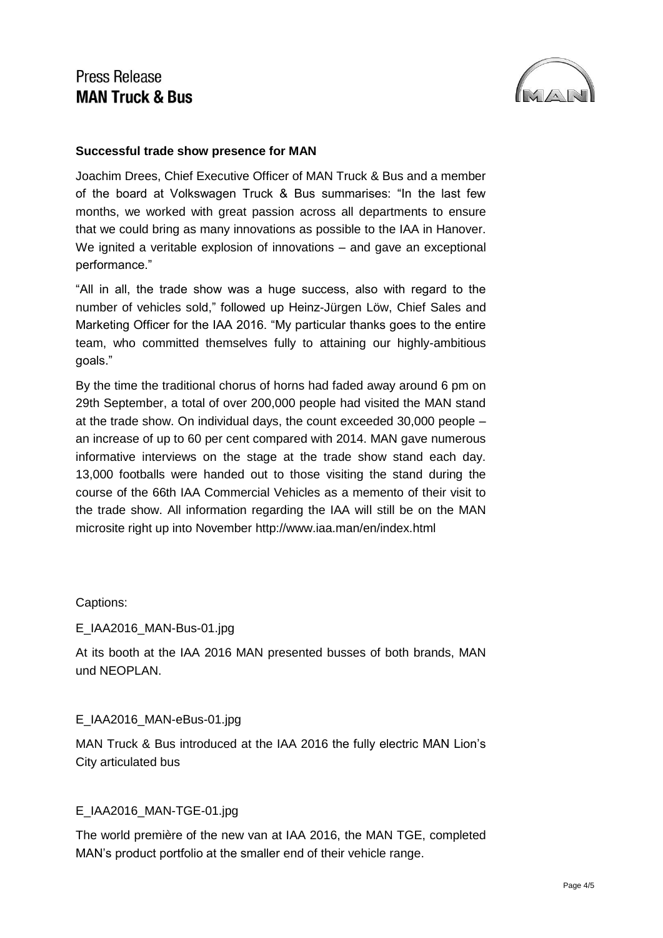

### **Successful trade show presence for MAN**

Joachim Drees, Chief Executive Officer of MAN Truck & Bus and a member of the board at Volkswagen Truck & Bus summarises: "In the last few months, we worked with great passion across all departments to ensure that we could bring as many innovations as possible to the IAA in Hanover. We ignited a veritable explosion of innovations – and gave an exceptional performance."

"All in all, the trade show was a huge success, also with regard to the number of vehicles sold," followed up Heinz-Jürgen Löw, Chief Sales and Marketing Officer for the IAA 2016. "My particular thanks goes to the entire team, who committed themselves fully to attaining our highly-ambitious goals."

By the time the traditional chorus of horns had faded away around 6 pm on 29th September, a total of over 200,000 people had visited the MAN stand at the trade show. On individual days, the count exceeded 30,000 people – an increase of up to 60 per cent compared with 2014. MAN gave numerous informative interviews on the stage at the trade show stand each day. 13,000 footballs were handed out to those visiting the stand during the course of the 66th IAA Commercial Vehicles as a memento of their visit to the trade show. All information regarding the IAA will still be on the MAN microsite right up into November http://www.iaa.man/en/index.html

### Captions:

### E\_IAA2016\_MAN-Bus-01.jpg

At its booth at the IAA 2016 MAN presented busses of both brands, MAN und NEOPLAN.

### E\_IAA2016\_MAN-eBus-01.jpg

MAN Truck & Bus introduced at the IAA 2016 the fully electric MAN Lion's City articulated bus

## E\_IAA2016\_MAN-TGE-01.jpg

The world première of the new van at IAA 2016, the MAN TGE, completed MAN's product portfolio at the smaller end of their vehicle range.